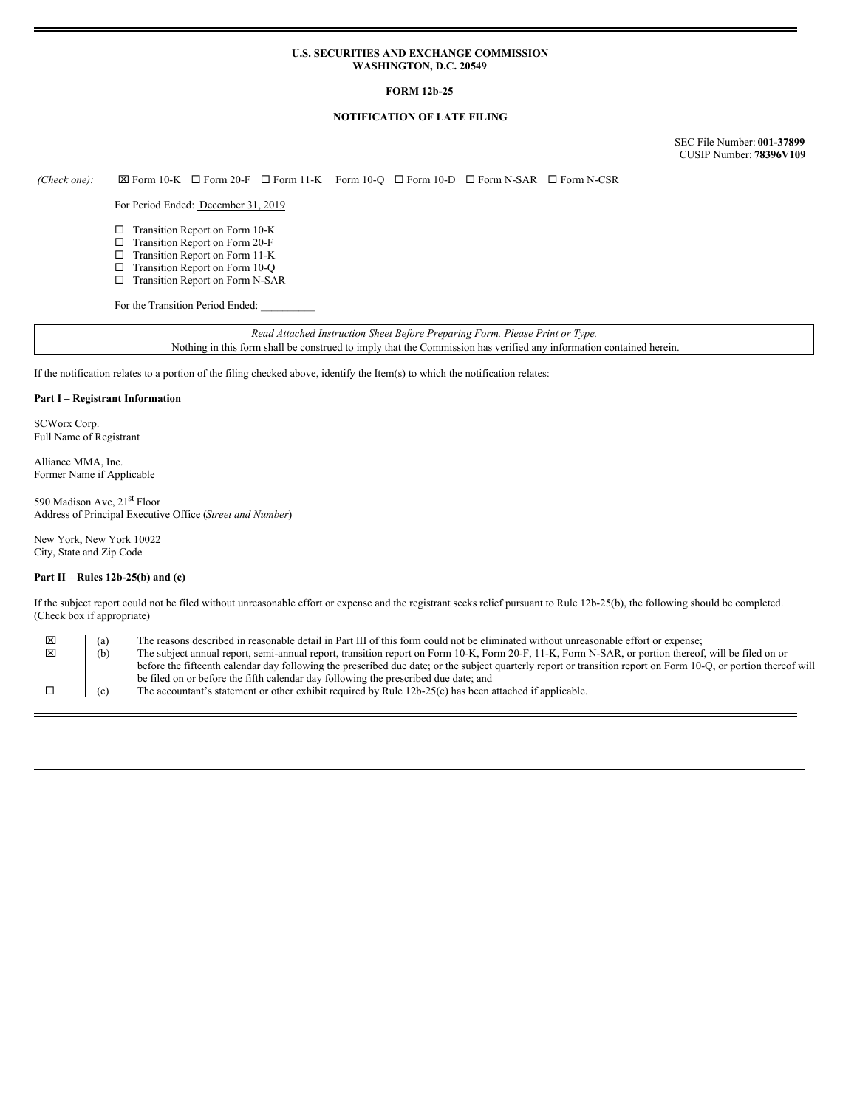#### **U.S. SECURITIES AND EXCHANGE COMMISSION WASHINGTON, D.C. 20549**

## **FORM 12b-25**

## **NOTIFICATION OF LATE FILING**

SEC File Number: **001-37899** CUSIP Number: **78396V109**

 $(Check\ one): \Box$  Form 10-K  $\Box$  Form 20-F  $\Box$  Form 11-K Form 10-Q  $\Box$  Form 10-D  $\Box$  Form N-SAR  $\Box$  Form N-CSR

For Period Ended: December 31, 2019

- □ Transition Report on Form 10-K
- □ Transition Report on Form 20-F
- □ Transition Report on Form 11-K
- □ Transition Report on Form 10-Q □ Transition Report on Form N-SAR
- 

For the Transition Period Ended:

*Read Attached Instruction Sheet Before Preparing Form. Please Print or Type.* Nothing in this form shall be construed to imply that the Commission has verified any information contained herein.

If the notification relates to a portion of the filing checked above, identify the Item(s) to which the notification relates:

## **Part I – Registrant Information**

SCWorx Corp. Full Name of Registrant

Alliance MMA, Inc. Former Name if Applicable

590 Madison Ave, 21<sup>st</sup> Floor Address of Principal Executive Office (*Street and Number*)

New York, New York 10022 City, State and Zip Code

#### **Part II – Rules 12b-25(b) and (c)**

If the subject report could not be filed without unreasonable effort or expense and the registrant seeks relief pursuant to Rule 12b-25(b), the following should be completed. (Check box if appropriate)

| ×<br>$\mathbf{x}$ | (a)<br>(b) | The reasons described in reasonable detail in Part III of this form could not be eliminated without unreasonable effort or expense;                                                                                                                                                                                    |
|-------------------|------------|------------------------------------------------------------------------------------------------------------------------------------------------------------------------------------------------------------------------------------------------------------------------------------------------------------------------|
|                   |            | The subject annual report, semi-annual report, transition report on Form 10-K, Form 20-F, 11-K, Form N-SAR, or portion thereof, will be filed on or<br>before the fifteenth calendar day following the prescribed due date; or the subject quarterly report or transition report on Form 10-O, or portion thereof will |
|                   |            | be filed on or before the fifth calendar day following the prescribed due date; and                                                                                                                                                                                                                                    |
|                   | (c)        | The accountant's statement or other exhibit required by Rule 12b-25(c) has been attached if applicable.                                                                                                                                                                                                                |